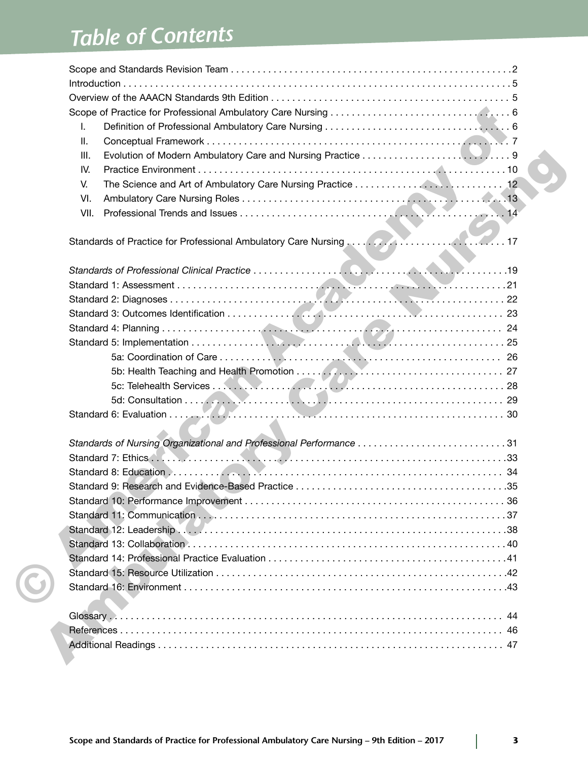# *Table of Contents*

| I.                                                                  |  |
|---------------------------------------------------------------------|--|
| Ш.                                                                  |  |
| III.                                                                |  |
| IV.                                                                 |  |
| V.                                                                  |  |
| VI.                                                                 |  |
| VII.                                                                |  |
|                                                                     |  |
|                                                                     |  |
|                                                                     |  |
|                                                                     |  |
|                                                                     |  |
|                                                                     |  |
|                                                                     |  |
|                                                                     |  |
|                                                                     |  |
|                                                                     |  |
|                                                                     |  |
|                                                                     |  |
|                                                                     |  |
|                                                                     |  |
| Standards of Nursing Organizational and Professional Performance 31 |  |
|                                                                     |  |
|                                                                     |  |
|                                                                     |  |
|                                                                     |  |
|                                                                     |  |
|                                                                     |  |
|                                                                     |  |
|                                                                     |  |
|                                                                     |  |
|                                                                     |  |
|                                                                     |  |
|                                                                     |  |
|                                                                     |  |
|                                                                     |  |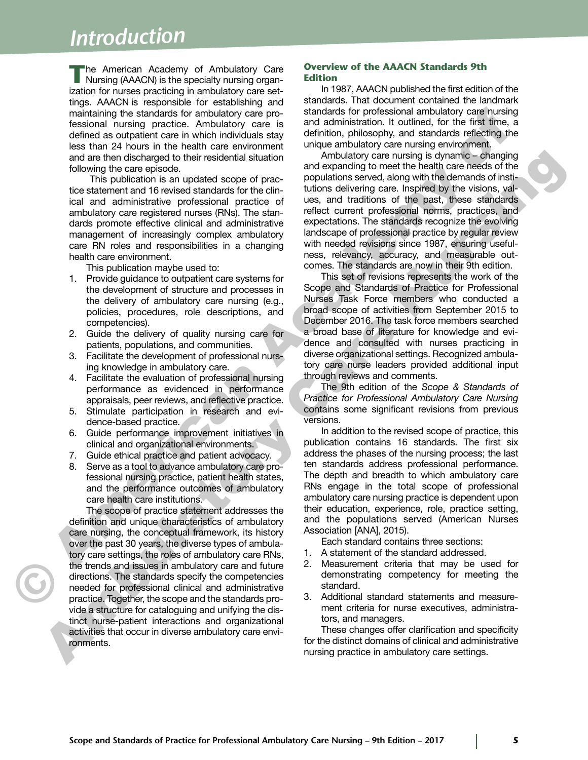# *Introduction*

**The American Academy of Ambulatory Care<br>
Nursing (AAACN) is the specialty nursing organ**ization for nurses practicing in ambulatory care settings. AAACN is responsible for establishing and maintaining the standards for ambulatory care professional nursing practice. Ambulatory care is defined as outpatient care in which individuals stay less than 24 hours in the health care environment and are then discharged to their residential situation following the care episode.

This publication is an updated scope of practice statement and 16 revised standards for the clinical and administrative professional practice of ambulatory care registered nurses (RNs). The standards promote effective clinical and administrative management of increasingly complex ambulatory care RN roles and responsibilities in a changing health care environment.

This publication maybe used to:

- 1. Provide guidance to outpatient care systems for the development of structure and processes in the delivery of ambulatory care nursing (e.g., policies, procedures, role descriptions, and competencies).
- 2. Guide the delivery of quality nursing care for patients, populations, and communities.
- 3. Facilitate the development of professional nursing knowledge in ambulatory care.
- 4. Facilitate the evaluation of professional nursing performance as evidenced in performance appraisals, peer reviews, and reflective practice.
- 5. Stimulate participation in research and evidence-based practice.
- 6. Guide performance improvement initiatives in clinical and organizational environments.
- 7. Guide ethical practice and patient advocacy.
- 8. Serve as a tool to advance ambulatory care professional nursing practice, patient health states, and the performance outcomes of ambulatory care health care institutions.

The scope of practice statement addresses the definition and unique characteristics of ambulatory care nursing, the conceptual framework, its history over the past 30 years, the diverse types of ambulatory care settings, the roles of ambulatory care RNs, the trends and issues in ambulatory care and future directions. The standards specify the competencies needed for professional clinical and administrative practice. Together, the scope and the standards provide a structure for cataloguing and unifying the distinct nurse-patient interactions and organizational activities that occur in diverse ambulatory care environments. and the decision of the interactional and the method and the method and the method and the method and the method and the method and the method and the method and the method and the method is a method and the method intera

#### **Overview of the AAACN Standards 9th Edition**

In 1987, AAACN published the first edition of the standards. That document contained the landmark standards for professional ambulatory care nursing and administration. It outlined, for the first time, a definition, philosophy, and standards reflecting the unique ambulatory care nursing environment.

Ambulatory care nursing is dynamic – changing and expanding to meet the health care needs of the populations served, along with the demands of institutions delivering care. Inspired by the visions, values, and traditions of the past, these standards reflect current professional norms, practices, and expectations. The standards recognize the evolving landscape of professional practice by regular review with needed revisions since 1987, ensuring usefulness, relevancy, accuracy, and measurable outcomes. The standards are now in their 9th edition. maintaining the standards for a material controllatory, care is noted and ambulatory care is not distinguished and ambulatory care is not distinguished and ambulatory care is not distinguished and and actual controllatory

This set of revisions represents the work of the Scope and Standards of Practice for Professional Nurses Task Force members who conducted a broad scope of activities from September 2015 to December 2016. The task force members searched a broad base of literature for knowledge and evidence and consulted with nurses practicing in diverse organizational settings. Recognized ambulatory care nurse leaders provided additional input through reviews and comments.

The 9th edition of the *Scope & Standards of Practice for Professional Ambulatory Care Nursing* contains some significant revisions from previous versions.

In addition to the revised scope of practice, this publication contains 16 standards. The first six address the phases of the nursing process; the last ten standards address professional performance. The depth and breadth to which ambulatory care RNs engage in the total scope of professional ambulatory care nursing practice is dependent upon their education, experience, role, practice setting, and the populations served (American Nurses Association [ANA], 2015).

Each standard contains three sections:

- 1. A statement of the standard addressed.
- 2. Measurement criteria that may be used for demonstrating competency for meeting the standard.
- 3. Additional standard statements and measurement criteria for nurse executives, administrators, and managers.

These changes offer clarification and specificity for the distinct domains of clinical and administrative nursing practice in ambulatory care settings.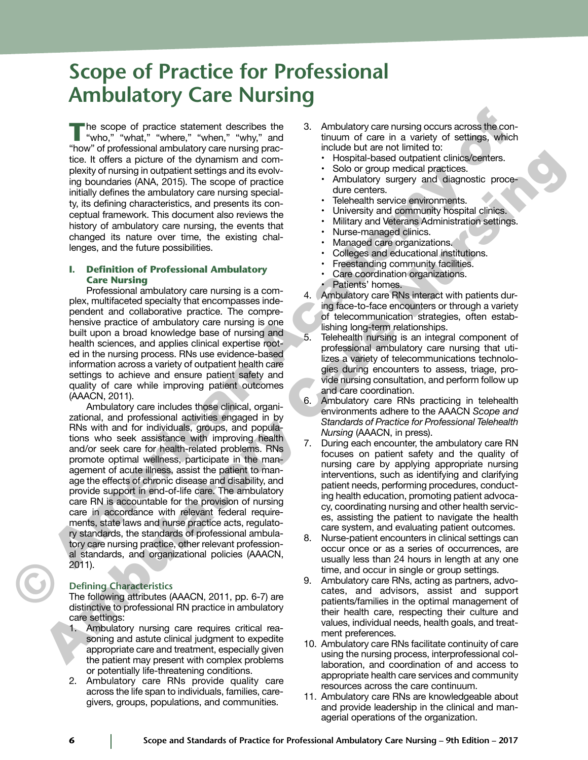# **Scope of Practice for Professional Ambulatory Care Nursing**

The scope of practice statement describes the<br>"who," "what," "where," "when," "why," and<br>"key" of professional probabilities can uniquene "how" of professional ambulatory care nursing practice. It offers a picture of the dynamism and complexity of nursing in outpatient settings and its evolving boundaries (ANA, 2015). The scope of practice initially defines the ambulatory care nursing specialty, its defining characteristics, and presents its conceptual framework. This document also reviews the history of ambulatory care nursing, the events that changed its nature over time, the existing challenges, and the future possibilities.

#### **I. Definition of Professional Ambulatory Care Nursing**

Professional ambulatory care nursing is a complex, multifaceted specialty that encompasses independent and collaborative practice. The comprehensive practice of ambulatory care nursing is one built upon a broad knowledge base of nursing and health sciences, and applies clinical expertise rooted in the nursing process. RNs use evidence-based information across a variety of outpatient health care settings to achieve and ensure patient safety and quality of care while improving patient outcomes (AAACN, 2011).

Ambulatory care includes those clinical, organizational, and professional activities engaged in by RNs with and for individuals, groups, and populations who seek assistance with improving health and/or seek care for health-related problems. RNs promote optimal wellness, participate in the management of acute illness, assist the patient to manage the effects of chronic disease and disability, and provide support in end-of-life care. The ambulatory care RN is accountable for the provision of nursing care in accordance with relevant federal requirements, state laws and nurse practice acts, regulatory standards, the standards of professional ambulatory care nursing practice, other relevant professional standards, and organizational policies (AAACN, 2011). The scope of practice statement describes the 3. Ambuladory care nursing occurs across the control of one in a winey of statement of control of the statement of control of the statement of the statement of the statement too. To the non-total and continue and continue and continue and continue and continue and continue and continue and continue and continue and continue and continue and continue and continue and continue and continue and c

#### **Defining Characteristics**

The following attributes (AAACN, 2011, pp. 6-7) are distinctive to professional RN practice in ambulatory care settings:

- Ambulatory nursing care requires critical reasoning and astute clinical judgment to expedite appropriate care and treatment, especially given the patient may present with complex problems or potentially life-threatening conditions.
- 2. Ambulatory care RNs provide quality care across the life span to individuals, families, caregivers, groups, populations, and communities.
- Ambulatory care nursing occurs across the continuum of care in a variety of settings, which include but are not limited to:
	- Hospital-based outpatient clinics/centers.
	- Solo or group medical practices.
	- Ambulatory surgery and diagnostic procedure centers.
	- Telehealth service environments.
	- University and community hospital clinics.
	- Military and Veterans Administration settings.
	- Nurse-managed clinics.
	- Managed care organizations.
	- Colleges and educational institutions.
	- Freestanding community facilities.
	- Care coordination organizations.
	- Patients' homes.
- 4. Ambulatory care RNs interact with patients during face-to-face encounters or through a variety of telecommunication strategies, often establishing long-term relationships.
- 5. Telehealth nursing is an integral component of professional ambulatory care nursing that utilizes a variety of telecommunications technologies during encounters to assess, triage, provide nursing consultation, and perform follow up and care coordination.
- 6. Ambulatory care RNs practicing in telehealth environments adhere to the AAACN *Scope and Standards of Practice for Professional Telehealth Nursing* (AAACN, in press).
- 7. During each encounter, the ambulatory care RN focuses on patient safety and the quality of nursing care by applying appropriate nursing interventions, such as identifying and clarifying patient needs, performing procedures, conducting health education, promoting patient advocacy, coordinating nursing and other health services, assisting the patient to navigate the health care system, and evaluating patient outcomes.
- 8. Nurse-patient encounters in clinical settings can occur once or as a series of occurrences, are usually less than 24 hours in length at any one time, and occur in single or group settings.
- 9. Ambulatory care RNs, acting as partners, advocates, and advisors, assist and support patients/families in the optimal management of their health care, respecting their culture and values, individual needs, health goals, and treatment preferences.
- 10. Ambulatory care RNs facilitate continuity of care using the nursing process, interprofessional collaboration, and coordination of and access to appropriate health care services and community resources across the care continuum.
- 11. Ambulatory care RNs are knowledgeable about and provide leadership in the clinical and managerial operations of the organization.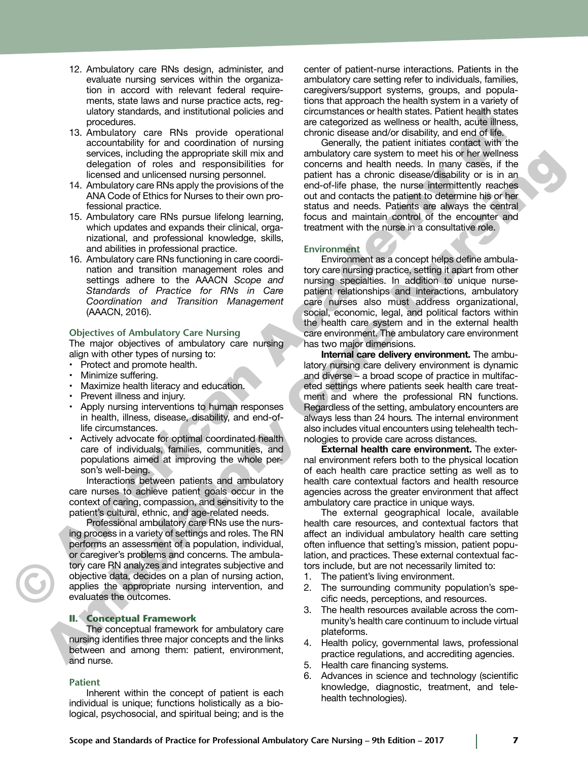- 12. Ambulatory care RNs design, administer, and evaluate nursing services within the organization in accord with relevant federal requirements, state laws and nurse practice acts, regulatory standards, and institutional policies and procedures.
- 13. Ambulatory care RNs provide operational accountability for and coordination of nursing services, including the appropriate skill mix and delegation of roles and responsibilities for licensed and unlicensed nursing personnel.
- 14. Ambulatory care RNs apply the provisions of the ANA Code of Ethics for Nurses to their own professional practice.
- 15. Ambulatory care RNs pursue lifelong learning, which updates and expands their clinical, organizational, and professional knowledge, skills, and abilities in professional practice.
- 16. Ambulatory care RNs functioning in care coordination and transition management roles and settings adhere to the AAACN *Scope and Standards of Practice for RNs in Care Coordination and Transition Management* (AAACN, 2016).

#### **Objectives of Ambulatory Care Nursing**

The major objectives of ambulatory care nursing align with other types of nursing to:

- Protect and promote health.
- Minimize suffering.
- Maximize health literacy and education.
- Prevent illness and injury.
- Apply nursing interventions to human responses in health, illness, disease, disability, and end-oflife circumstances.
- Actively advocate for optimal coordinated health care of individuals, families, communities, and populations aimed at improving the whole person's well-being.

Interactions between patients and ambulatory care nurses to achieve patient goals occur in the context of caring, compassion, and sensitivity to the patient's cultural, ethnic, and age-related needs.

Professional ambulatory care RNs use the nursing process in a variety of settings and roles. The RN performs an assessment of a population, individual, or caregiver's problems and concerns. The ambulatory care RN analyzes and integrates subjective and objective data, decides on a plan of nursing action, applies the appropriate nursing intervention, and evaluates the outcomes.

#### **II. Conceptual Framework**

The conceptual framework for ambulatory care nursing identifies three major concepts and the links between and among them: patient, environment, and nurse.

#### **Patient**

Inherent within the concept of patient is each individual is unique; functions holistically as a biological, psychosocial, and spiritual being; and is the center of patient-nurse interactions. Patients in the ambulatory care setting refer to individuals, families, caregivers/support systems, groups, and populations that approach the health system in a variety of circumstances or health states. Patient health states are categorized as wellness or health, acute illness, chronic disease and/or disability, and end of life.

Generally, the patient initiates contact with the ambulatory care system to meet his or her wellness concerns and health needs. In many cases, if the patient has a chronic disease/disability or is in an end-of-life phase, the nurse intermittently reaches out and contacts the patient to determine his or her status and needs. Patients are always the central focus and maintain control of the encounter and treatment with the nurse in a consultative role. using red mediation and restriction and records and records and red mediations of the strengthendom of red mediation and red mediation and red mediation and red mediation and red mediation and red mediation and red mediat

#### **Environment**

Environment as a concept helps define ambulatory care nursing practice, setting it apart from other nursing specialties. In addition to unique nursepatient relationships and interactions, ambulatory care nurses also must address organizational, social, economic, legal, and political factors within the health care system and in the external health care environment. The ambulatory care environment has two major dimensions.

**Internal care delivery environment.** The ambulatory nursing care delivery environment is dynamic and diverse – a broad scope of practice in multifaceted settings where patients seek health care treatment and where the professional RN functions. Regardless of the setting, ambulatory encounters are always less than 24 hours*.* The internal environment also includes vitual encounters using telehealth technologies to provide care across distances. saying in control of a constraint and antibidation control of a constraint of method of the same of the same of the same of the same of the same of the same of the same of the same of the same of the same of the same of th

**External health care environment.** The external environment refers both to the physical location of each health care practice setting as well as to health care contextual factors and health resource agencies across the greater environment that affect ambulatory care practice in unique ways.

The external geographical locale, available health care resources, and contextual factors that affect an individual ambulatory health care setting often influence that setting's mission, patient population, and practices. These external contextual factors include, but are not necessarily limited to:

- 1. The patient's living environment.
- 2. The surrounding community population's specific needs, perceptions, and resources.
- 3. The health resources available across the community's health care continuum to include virtual plateforms.
- 4. Health policy, governmental laws, professional practice regulations, and accrediting agencies.
- 5. Health care financing systems.
- 6. Advances in science and technology (scientific knowledge, diagnostic, treatment, and telehealth technologies).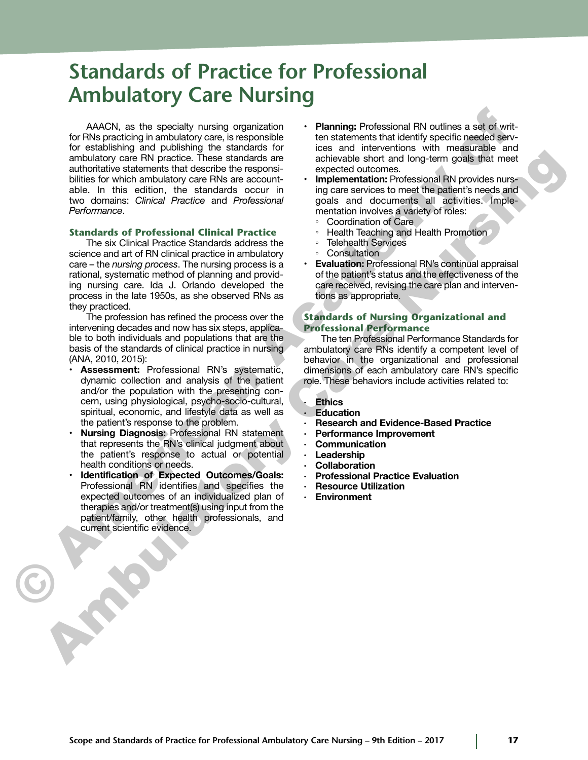# **Standards of Practice for Professional Ambulatory Care Nursing**

AAACN, as the specialty nursing organization for RNs practicing in ambulatory care, is responsible for establishing and publishing the standards for ambulatory care RN practice. These standards are authoritative statements that describe the responsibilities for which ambulatory care RNs are accountable. In this edition, the standards occur in two domains: *Clinical Practice* and *Professional Performance*. AACN, us the specialty ruraing organization<br>
for RS practicity and publishing and publishing and publishing and publishing and publishing and publishing the standards for RS practice based for RS profits and the standards

#### **Standards of Professional Clinical Practice**

The six Clinical Practice Standards address the science and art of RN clinical practice in ambulatory care – the *nursing process*. The nursing process is a rational, systematic method of planning and providing nursing care. Ida J. Orlando developed the process in the late 1950s, as she observed RNs as they practiced. ambulatory care for practices. These standards are equilibrium to the proposition of the proposition of the standard standard in the care of the standard in the care of the standard in the care of the standard in the care

The profession has refined the process over the intervening decades and now has six steps, applicable to both individuals and populations that are the basis of the standards of clinical practice in nursing (ANA, 2010, 2015):

- **Assessment:** Professional RN's systematic, dynamic collection and analysis of the patient and/or the population with the presenting concern, using physiological, psycho-socio-cultural, spiritual, economic, and lifestyle data as well as the patient's response to the problem.
- **Nursing Diagnosis:** Professional RN statement that represents the RN's clinical judgment about the patient's response to actual or potential health conditions or needs.
- **Identification of Expected Outcomes/Goals:** Professional RN identifies and specifies the expected outcomes of an individualized plan of therapies and/or treatment(s) using input from the patient/family, other health professionals, and current scientific evidence.
- **Planning:** Professional RN outlines a set of written statements that identify specific needed services and interventions with measurable and achievable short and long-term goals that meet expected outcomes.
- **Implementation: Professional RN provides nurs**ing care services to meet the patient's needs and goals and documents all activities. Implementation involves a variety of roles:
	- Coordination of Care
	- Health Teaching and Health Promotion
	- Telehealth Services
	- Consultation
- **Evaluation:** Professional RN's continual appraisal of the patient's status and the effectiveness of the care received, revising the care plan and interventions as appropriate.

#### **Standards of Nursing Organizational and Professional Performance**

The ten Professional Performance Standards for ambulatory care RNs identify a competent level of behavior in the organizational and professional dimensions of each ambulatory care RN's specific role. These behaviors include activities related to:

#### **· Ethics**

- **· Education**
- **· Research and Evidence-Based Practice**
- **· Performance Improvement**
- **· Communication**
- **· Leadership**
- **· Collaboration**
- **· Professional Practice Evaluation**
- **· Resource Utilization**
- **· Environment**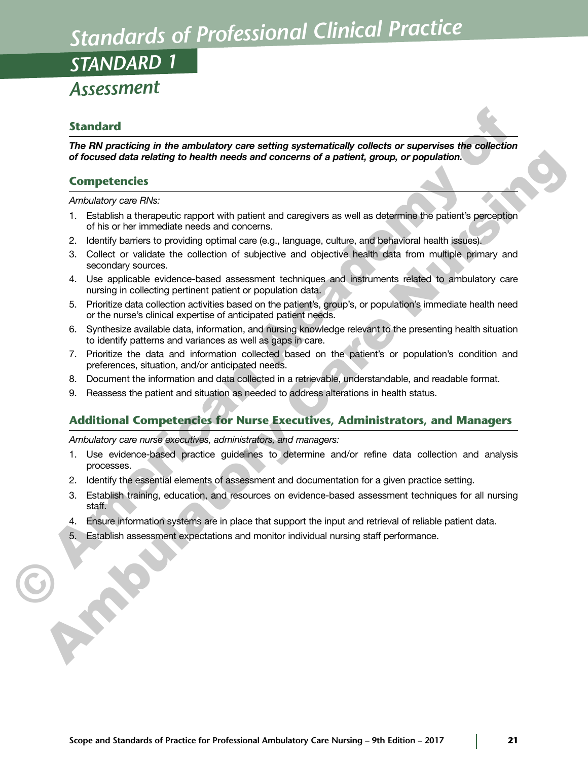# *Standards of Professional Clinical Practice*

*STANDARD 1*

# *Assessment*

## **Standard**

*The RN practicing in the ambulatory care setting systematically collects or supervises the collection of focused data relating to health needs and concerns of a patient, group, or population.*

## **Competencies**

*Ambulatory care RNs:*

- 1. Establish a therapeutic rapport with patient and caregivers as well as determine the patient's perception of his or her immediate needs and concerns.
- 2. Identify barriers to providing optimal care (e.g., language, culture, and behavioral health issues).
- 3. Collect or validate the collection of subjective and objective health data from multiple primary and secondary sources.
- 4. Use applicable evidence-based assessment techniques and instruments related to ambulatory care nursing in collecting pertinent patient or population data.
- 5. Prioritize data collection activities based on the patient's, group's, or population's immediate health need or the nurse's clinical expertise of anticipated patient needs.
- 6. Synthesize available data, information, and nursing knowledge relevant to the presenting health situation to identify patterns and variances as well as gaps in care.
- 7. Prioritize the data and information collected based on the patient's or population's condition and preferences, situation, and/or anticipated needs.
- 8. Document the information and data collected in a retrievable, understandable, and readable format.
- 9. Reassess the patient and situation as needed to address alterations in health status.

## **Additional Competencies for Nurse Executives, Administrators, and Managers**

*Ambulatory care nurse executives, administrators, and managers:*

- 1. Use evidence-based practice guidelines to determine and/or refine data collection and analysis processes.
- 2. Identify the essential elements of assessment and documentation for a given practice setting.
- 3. Establish training, education, and resources on evidence-based assessment techniques for all nursing staff. Standard<br>
The RN precicle of the embulatory care setting systematically collects or supervises the collection<br>
of cocave dots reduled to hostift needs and concerns of a patient, group, or population.<br>
Competencies<br>
Compet of focused data relating to health media and competens and a patient, group, or population.<br>
Competencies<br>
2. Untublish a threspoint emport with patient and caregivers as well as obtentine the patients perception<br>
2. Untub
	- 4. Ensure information systems are in place that support the input and retrieval of reliable patient data.
	- 5. Establish assessment expectations and monitor individual nursing staff performance.